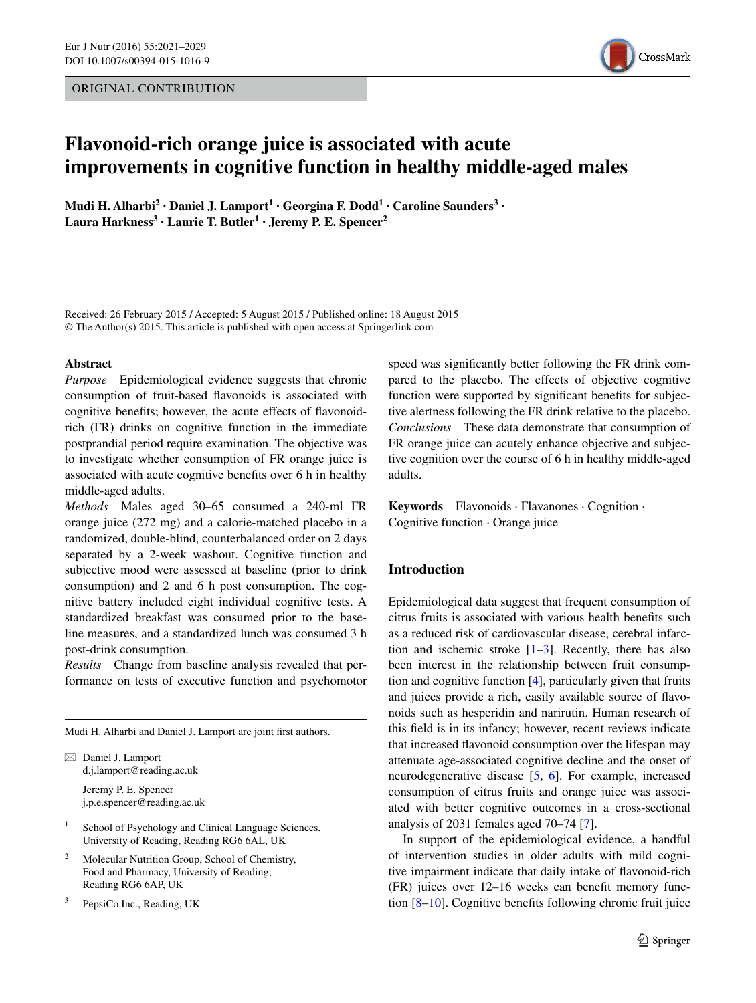## ORIGINAL CONTRIBUTION



# **Flavonoid‑rich orange juice is associated with acute improvements in cognitive function in healthy middle‑aged males**

**Mudi H. Alharbi2 · Daniel J. Lamport1 · Georgina F. Dodd1 · Caroline Saunders3 · Laura Harkness<sup>3</sup> · Laurie T. Butler1 · Jeremy P. E. Spencer2**

Received: 26 February 2015 / Accepted: 5 August 2015 / Published online: 18 August 2015 © The Author(s) 2015. This article is published with open access at Springerlink.com

## **Abstract**

*Purpose* Epidemiological evidence suggests that chronic consumption of fruit-based flavonoids is associated with cognitive benefits; however, the acute effects of flavonoidrich (FR) drinks on cognitive function in the immediate postprandial period require examination. The objective was to investigate whether consumption of FR orange juice is associated with acute cognitive benefits over 6 h in healthy middle-aged adults.

*Methods* Males aged 30–65 consumed a 240-ml FR orange juice (272 mg) and a calorie-matched placebo in a randomized, double-blind, counterbalanced order on 2 days separated by a 2-week washout. Cognitive function and subjective mood were assessed at baseline (prior to drink consumption) and 2 and 6 h post consumption. The cognitive battery included eight individual cognitive tests. A standardized breakfast was consumed prior to the baseline measures, and a standardized lunch was consumed 3 h post-drink consumption.

*Results* Change from baseline analysis revealed that performance on tests of executive function and psychomotor

Mudi H. Alharbi and Daniel J. Lamport are joint first authors.

Jeremy P. E. Spencer j.p.e.spencer@reading.ac.uk

- School of Psychology and Clinical Language Sciences, University of Reading, Reading RG6 6AL, UK
- <sup>2</sup> Molecular Nutrition Group, School of Chemistry, Food and Pharmacy, University of Reading, Reading RG6 6AP, UK
- PepsiCo Inc., Reading, UK

speed was significantly better following the FR drink compared to the placebo. The effects of objective cognitive function were supported by significant benefits for subjective alertness following the FR drink relative to the placebo. *Conclusions* These data demonstrate that consumption of FR orange juice can acutely enhance objective and subjective cognition over the course of 6 h in healthy middle-aged adults.

**Keywords** Flavonoids · Flavanones · Cognition · Cognitive function · Orange juice

# **Introduction**

Epidemiological data suggest that frequent consumption of citrus fruits is associated with various health benefits such as a reduced risk of cardiovascular disease, cerebral infarction and ischemic stroke  $[1-3]$  $[1-3]$ . Recently, there has also been interest in the relationship between fruit consumption and cognitive function [[4\]](#page-7-2), particularly given that fruits and juices provide a rich, easily available source of flavonoids such as hesperidin and narirutin. Human research of this field is in its infancy; however, recent reviews indicate that increased flavonoid consumption over the lifespan may attenuate age-associated cognitive decline and the onset of neurodegenerative disease [[5,](#page-7-3) [6](#page-7-4)]. For example, increased consumption of citrus fruits and orange juice was associated with better cognitive outcomes in a cross-sectional analysis of 2031 females aged 70–74 [\[7](#page-7-5)].

In support of the epidemiological evidence, a handful of intervention studies in older adults with mild cognitive impairment indicate that daily intake of flavonoid-rich (FR) juices over 12–16 weeks can benefit memory function [[8–](#page-7-6)[10\]](#page-7-7). Cognitive benefits following chronic fruit juice

 $\boxtimes$  Daniel J. Lamport d.j.lamport@reading.ac.uk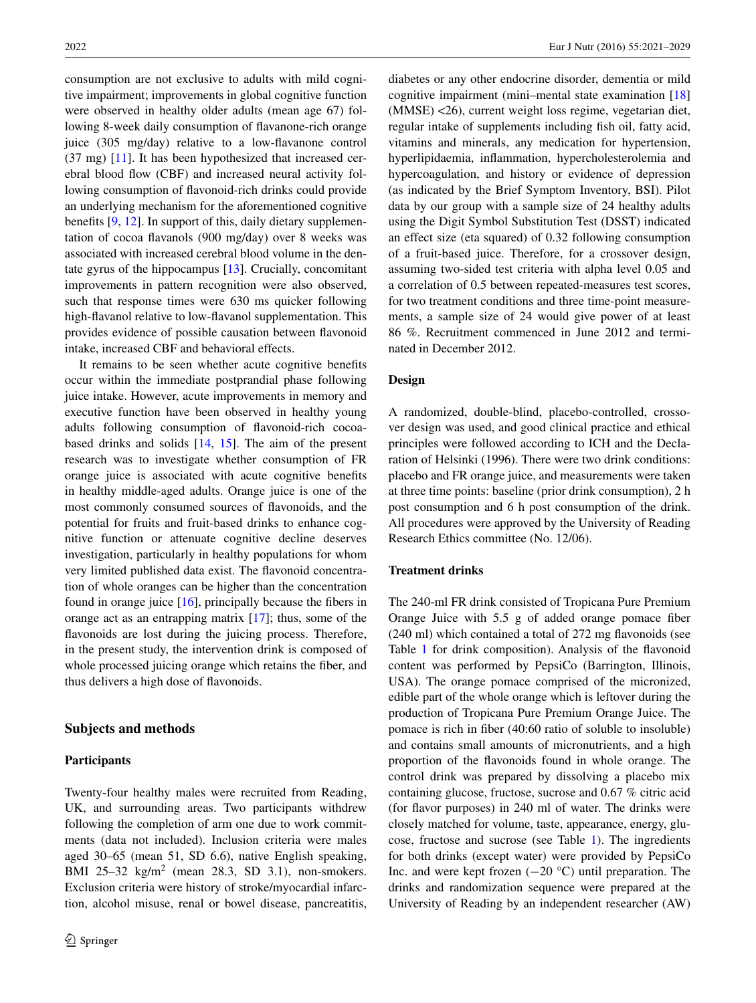consumption are not exclusive to adults with mild cognitive impairment; improvements in global cognitive function were observed in healthy older adults (mean age 67) following 8-week daily consumption of flavanone-rich orange juice (305 mg/day) relative to a low-flavanone control (37 mg) [[11\]](#page-7-8). It has been hypothesized that increased cerebral blood flow (CBF) and increased neural activity following consumption of flavonoid-rich drinks could provide an underlying mechanism for the aforementioned cognitive benefits [[9,](#page-7-9) [12\]](#page-7-10). In support of this, daily dietary supplementation of cocoa flavanols (900 mg/day) over 8 weeks was associated with increased cerebral blood volume in the dentate gyrus of the hippocampus [\[13](#page-7-11)]. Crucially, concomitant improvements in pattern recognition were also observed, such that response times were 630 ms quicker following high-flavanol relative to low-flavanol supplementation. This provides evidence of possible causation between flavonoid intake, increased CBF and behavioral effects.

It remains to be seen whether acute cognitive benefits occur within the immediate postprandial phase following juice intake. However, acute improvements in memory and executive function have been observed in healthy young adults following consumption of flavonoid-rich cocoabased drinks and solids [\[14](#page-7-12), [15\]](#page-7-13). The aim of the present research was to investigate whether consumption of FR orange juice is associated with acute cognitive benefits in healthy middle-aged adults. Orange juice is one of the most commonly consumed sources of flavonoids, and the potential for fruits and fruit-based drinks to enhance cognitive function or attenuate cognitive decline deserves investigation, particularly in healthy populations for whom very limited published data exist. The flavonoid concentration of whole oranges can be higher than the concentration found in orange juice [[16\]](#page-7-14), principally because the fibers in orange act as an entrapping matrix [\[17](#page-7-15)]; thus, some of the flavonoids are lost during the juicing process. Therefore, in the present study, the intervention drink is composed of whole processed juicing orange which retains the fiber, and thus delivers a high dose of flavonoids.

## **Subjects and methods**

## **Participants**

Twenty-four healthy males were recruited from Reading, UK, and surrounding areas. Two participants withdrew following the completion of arm one due to work commitments (data not included). Inclusion criteria were males aged 30–65 (mean 51, SD 6.6), native English speaking, BMI 25-32  $\text{kg/m}^2$  (mean 28.3, SD 3.1), non-smokers. Exclusion criteria were history of stroke/myocardial infarction, alcohol misuse, renal or bowel disease, pancreatitis,

diabetes or any other endocrine disorder, dementia or mild cognitive impairment (mini–mental state examination [[18\]](#page-7-16) (MMSE) <26), current weight loss regime, vegetarian diet, regular intake of supplements including fish oil, fatty acid, vitamins and minerals, any medication for hypertension, hyperlipidaemia, inflammation, hypercholesterolemia and hypercoagulation, and history or evidence of depression (as indicated by the Brief Symptom Inventory, BSI). Pilot data by our group with a sample size of 24 healthy adults using the Digit Symbol Substitution Test (DSST) indicated an effect size (eta squared) of 0.32 following consumption of a fruit-based juice. Therefore, for a crossover design, assuming two-sided test criteria with alpha level 0.05 and a correlation of 0.5 between repeated-measures test scores, for two treatment conditions and three time-point measurements, a sample size of 24 would give power of at least 86 %. Recruitment commenced in June 2012 and terminated in December 2012.

# **Design**

A randomized, double-blind, placebo-controlled, crossover design was used, and good clinical practice and ethical principles were followed according to ICH and the Declaration of Helsinki (1996). There were two drink conditions: placebo and FR orange juice, and measurements were taken at three time points: baseline (prior drink consumption), 2 h post consumption and 6 h post consumption of the drink. All procedures were approved by the University of Reading Research Ethics committee (No. 12/06).

#### **Treatment drinks**

The 240-ml FR drink consisted of Tropicana Pure Premium Orange Juice with 5.5 g of added orange pomace fiber (240 ml) which contained a total of 272 mg flavonoids (see Table [1](#page-2-0) for drink composition). Analysis of the flavonoid content was performed by PepsiCo (Barrington, Illinois, USA). The orange pomace comprised of the micronized, edible part of the whole orange which is leftover during the production of Tropicana Pure Premium Orange Juice. The pomace is rich in fiber (40:60 ratio of soluble to insoluble) and contains small amounts of micronutrients, and a high proportion of the flavonoids found in whole orange. The control drink was prepared by dissolving a placebo mix containing glucose, fructose, sucrose and 0.67 % citric acid (for flavor purposes) in 240 ml of water. The drinks were closely matched for volume, taste, appearance, energy, glucose, fructose and sucrose (see Table [1](#page-2-0)). The ingredients for both drinks (except water) were provided by PepsiCo Inc. and were kept frozen (−20 °C) until preparation. The drinks and randomization sequence were prepared at the University of Reading by an independent researcher (AW)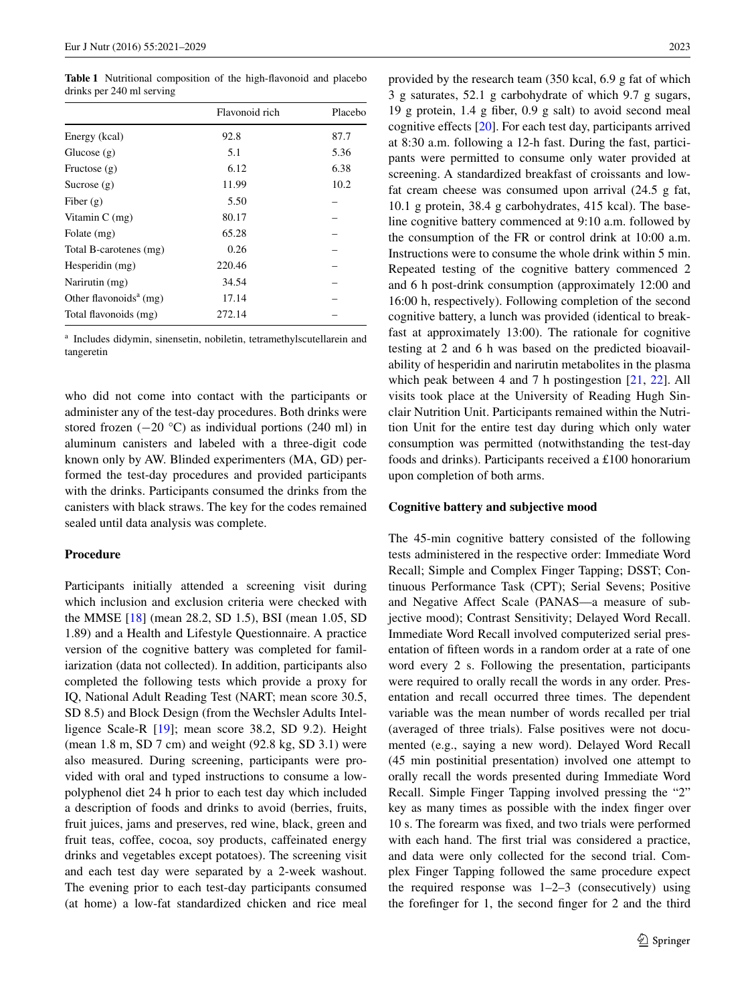<span id="page-2-0"></span>**Table 1** Nutritional composition of the high-flavonoid and placebo drinks per 240 ml serving

|                                    | Flavonoid rich | Placebo |
|------------------------------------|----------------|---------|
| Energy (kcal)                      | 92.8           | 87.7    |
| Glucose $(g)$                      | 5.1            | 5.36    |
| Fructose $(g)$                     | 6.12           | 6.38    |
| Sucrose $(g)$                      | 11.99          | 10.2    |
| Fiber $(g)$                        | 5.50           |         |
| Vitamin $C$ (mg)                   | 80.17          |         |
| Folate (mg)                        | 65.28          |         |
| Total B-carotenes (mg)             | 0.26           |         |
| Hesperidin (mg)                    | 220.46         |         |
| Narifutin (mg)                     | 34.54          |         |
| Other flavonoids <sup>a</sup> (mg) | 17.14          |         |
| Total flavonoids (mg)              | 272.14         |         |

<sup>a</sup> Includes didymin, sinensetin, nobiletin, tetramethylscutellarein and tangeretin

who did not come into contact with the participants or administer any of the test-day procedures. Both drinks were stored frozen (−20 °C) as individual portions (240 ml) in aluminum canisters and labeled with a three-digit code known only by AW. Blinded experimenters (MA, GD) performed the test-day procedures and provided participants with the drinks. Participants consumed the drinks from the canisters with black straws. The key for the codes remained sealed until data analysis was complete.

## **Procedure**

Participants initially attended a screening visit during which inclusion and exclusion criteria were checked with the MMSE [\[18](#page-7-16)] (mean 28.2, SD 1.5), BSI (mean 1.05, SD 1.89) and a Health and Lifestyle Questionnaire. A practice version of the cognitive battery was completed for familiarization (data not collected). In addition, participants also completed the following tests which provide a proxy for IQ, National Adult Reading Test (NART; mean score 30.5, SD 8.5) and Block Design (from the Wechsler Adults Intelligence Scale-R [\[19](#page-7-17)]; mean score 38.2, SD 9.2). Height (mean  $1.8$  m, SD  $7$  cm) and weight (92.8 kg, SD  $3.1$ ) were also measured. During screening, participants were provided with oral and typed instructions to consume a lowpolyphenol diet 24 h prior to each test day which included a description of foods and drinks to avoid (berries, fruits, fruit juices, jams and preserves, red wine, black, green and fruit teas, coffee, cocoa, soy products, caffeinated energy drinks and vegetables except potatoes). The screening visit and each test day were separated by a 2-week washout. The evening prior to each test-day participants consumed (at home) a low-fat standardized chicken and rice meal

provided by the research team (350 kcal, 6.9 g fat of which 3 g saturates, 52.1 g carbohydrate of which 9.7 g sugars, 19 g protein, 1.4 g fiber, 0.9 g salt) to avoid second meal cognitive effects [\[20](#page-7-18)]. For each test day, participants arrived at 8:30 a.m. following a 12-h fast. During the fast, participants were permitted to consume only water provided at screening. A standardized breakfast of croissants and lowfat cream cheese was consumed upon arrival (24.5 g fat, 10.1 g protein, 38.4 g carbohydrates, 415 kcal). The baseline cognitive battery commenced at 9:10 a.m. followed by the consumption of the FR or control drink at 10:00 a.m. Instructions were to consume the whole drink within 5 min. Repeated testing of the cognitive battery commenced 2 and 6 h post-drink consumption (approximately 12:00 and 16:00 h, respectively). Following completion of the second cognitive battery, a lunch was provided (identical to breakfast at approximately 13:00). The rationale for cognitive testing at 2 and 6 h was based on the predicted bioavailability of hesperidin and narirutin metabolites in the plasma which peak between 4 and 7 h postingestion [[21,](#page-7-19) [22\]](#page-8-0). All visits took place at the University of Reading Hugh Sinclair Nutrition Unit. Participants remained within the Nutrition Unit for the entire test day during which only water consumption was permitted (notwithstanding the test-day foods and drinks). Participants received a £100 honorarium upon completion of both arms.

#### **Cognitive battery and subjective mood**

The 45-min cognitive battery consisted of the following tests administered in the respective order: Immediate Word Recall; Simple and Complex Finger Tapping; DSST; Continuous Performance Task (CPT); Serial Sevens; Positive and Negative Affect Scale (PANAS—a measure of subjective mood); Contrast Sensitivity; Delayed Word Recall. Immediate Word Recall involved computerized serial presentation of fifteen words in a random order at a rate of one word every 2 s. Following the presentation, participants were required to orally recall the words in any order. Presentation and recall occurred three times. The dependent variable was the mean number of words recalled per trial (averaged of three trials). False positives were not documented (e.g., saying a new word). Delayed Word Recall (45 min postinitial presentation) involved one attempt to orally recall the words presented during Immediate Word Recall. Simple Finger Tapping involved pressing the "2" key as many times as possible with the index finger over 10 s. The forearm was fixed, and two trials were performed with each hand. The first trial was considered a practice, and data were only collected for the second trial. Complex Finger Tapping followed the same procedure expect the required response was  $1-2-3$  (consecutively) using the forefinger for 1, the second finger for 2 and the third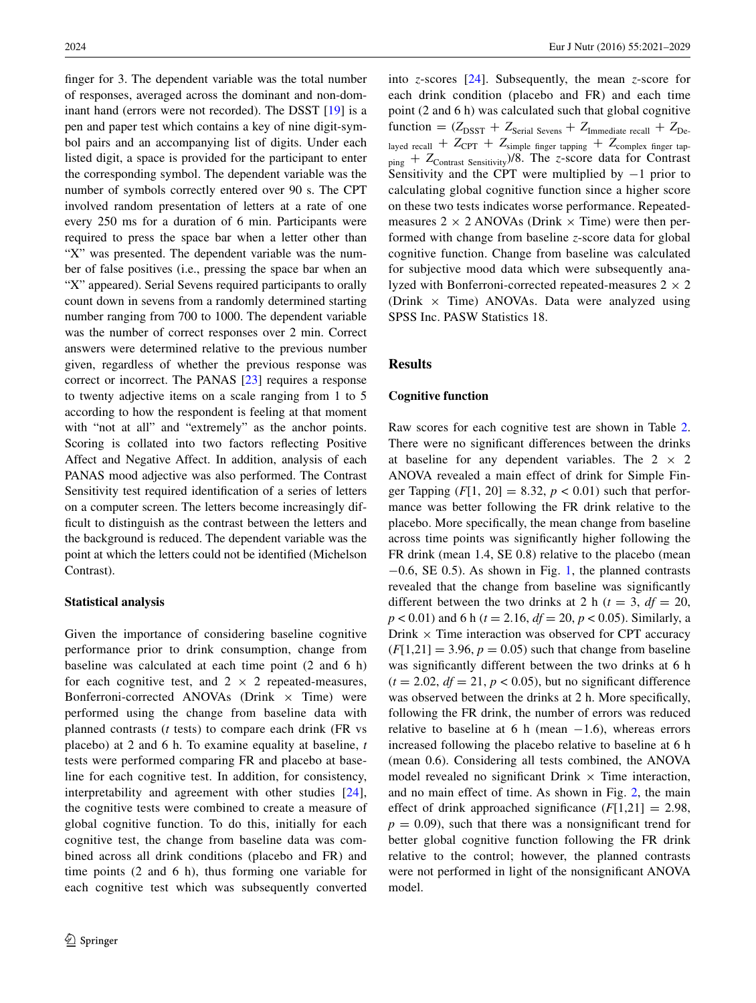finger for 3. The dependent variable was the total number of responses, averaged across the dominant and non-dominant hand (errors were not recorded). The DSST [\[19](#page-7-17)] is a pen and paper test which contains a key of nine digit-symbol pairs and an accompanying list of digits. Under each listed digit, a space is provided for the participant to enter the corresponding symbol. The dependent variable was the number of symbols correctly entered over 90 s. The CPT involved random presentation of letters at a rate of one every 250 ms for a duration of 6 min. Participants were required to press the space bar when a letter other than "X" was presented. The dependent variable was the number of false positives (i.e., pressing the space bar when an "X" appeared). Serial Sevens required participants to orally count down in sevens from a randomly determined starting number ranging from 700 to 1000. The dependent variable was the number of correct responses over 2 min. Correct answers were determined relative to the previous number given, regardless of whether the previous response was correct or incorrect. The PANAS [\[23](#page-8-1)] requires a response to twenty adjective items on a scale ranging from 1 to 5 according to how the respondent is feeling at that moment with "not at all" and "extremely" as the anchor points. Scoring is collated into two factors reflecting Positive Affect and Negative Affect. In addition, analysis of each PANAS mood adjective was also performed. The Contrast Sensitivity test required identification of a series of letters on a computer screen. The letters become increasingly difficult to distinguish as the contrast between the letters and the background is reduced. The dependent variable was the point at which the letters could not be identified (Michelson Contrast).

## **Statistical analysis**

Given the importance of considering baseline cognitive performance prior to drink consumption, change from baseline was calculated at each time point (2 and 6 h) for each cognitive test, and  $2 \times 2$  repeated-measures, Bonferroni-corrected ANOVAs (Drink  $\times$  Time) were performed using the change from baseline data with planned contrasts (*t* tests) to compare each drink (FR vs placebo) at 2 and 6 h. To examine equality at baseline, *t* tests were performed comparing FR and placebo at baseline for each cognitive test. In addition, for consistency, interpretability and agreement with other studies [[24](#page-8-2)], the cognitive tests were combined to create a measure of global cognitive function. To do this, initially for each cognitive test, the change from baseline data was combined across all drink conditions (placebo and FR) and time points (2 and 6 h), thus forming one variable for each cognitive test which was subsequently converted into *z*-scores [[24](#page-8-2)]. Subsequently, the mean *z*-score for each drink condition (placebo and FR) and each time point (2 and 6 h) was calculated such that global cognitive  $function = (Z_{DSST} + Z_{\text{Serial Svens}} + Z_{\text{Image Real}} + Z_{\text{De}})$ layed recall  $+ Z_{CPT} + Z_{simple \text{ finger tapping}} + Z_{complex \text{ finger tap}}$ ping + *Z*Contrast Sensitivity)/8. The *z*-score data for Contrast Sensitivity and the CPT were multiplied by  $-1$  prior to calculating global cognitive function since a higher score on these two tests indicates worse performance. Repeatedmeasures  $2 \times 2$  ANOVAs (Drink  $\times$  Time) were then performed with change from baseline *z*-score data for global cognitive function. Change from baseline was calculated for subjective mood data which were subsequently analyzed with Bonferroni-corrected repeated-measures  $2 \times 2$ (Drink  $\times$  Time) ANOVAs. Data were analyzed using SPSS Inc. PASW Statistics 18.

# **Results**

#### **Cognitive function**

Raw scores for each cognitive test are shown in Table [2.](#page-4-0) There were no significant differences between the drinks at baseline for any dependent variables. The  $2 \times 2$ ANOVA revealed a main effect of drink for Simple Finger Tapping  $(F[1, 20] = 8.32, p < 0.01)$  such that performance was better following the FR drink relative to the placebo. More specifically, the mean change from baseline across time points was significantly higher following the FR drink (mean 1.4, SE 0.8) relative to the placebo (mean  $-0.6$ , SE 0.5). As shown in Fig. [1,](#page-5-0) the planned contrasts revealed that the change from baseline was significantly different between the two drinks at 2 h ( $t = 3$ ,  $df = 20$ , *p* < 0.01) and 6 h (*t* = 2.16, *df* = 20, *p* < 0.05). Similarly, a Drink  $\times$  Time interaction was observed for CPT accuracy  $(F[1,21] = 3.96, p = 0.05)$  such that change from baseline was significantly different between the two drinks at 6 h  $(t = 2.02, df = 21, p < 0.05)$ , but no significant difference was observed between the drinks at 2 h. More specifically, following the FR drink, the number of errors was reduced relative to baseline at 6 h (mean  $-1.6$ ), whereas errors increased following the placebo relative to baseline at 6 h (mean 0.6). Considering all tests combined, the ANOVA model revealed no significant Drink  $\times$  Time interaction, and no main effect of time. As shown in Fig. [2](#page-5-1), the main effect of drink approached significance  $(F[1,21] = 2.98$ ,  $p = 0.09$ , such that there was a nonsignificant trend for better global cognitive function following the FR drink relative to the control; however, the planned contrasts were not performed in light of the nonsignificant ANOVA model.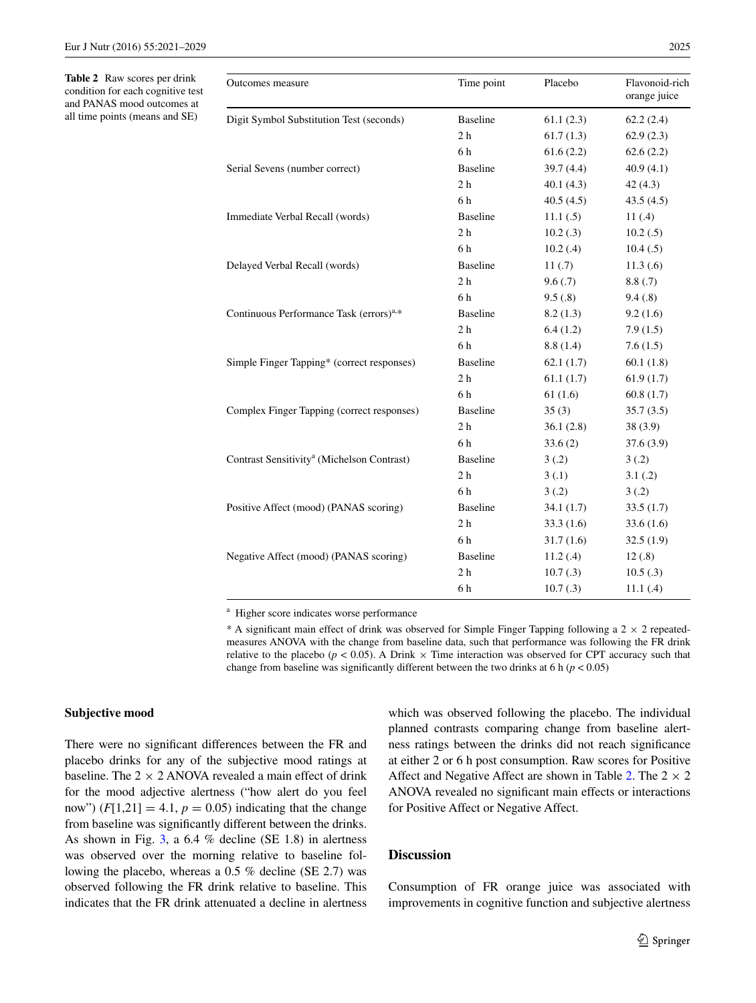<span id="page-4-0"></span>**Table 2** Raw scores per drink condition for each cognitive test and PANAS mood outcomes at all time points (means and SE)

| Outcomes measure                                       | Time point      | Placebo    | Flavonoid-rich<br>orange juice |
|--------------------------------------------------------|-----------------|------------|--------------------------------|
| Digit Symbol Substitution Test (seconds)               | <b>Baseline</b> | 61.1(2.3)  | 62.2(2.4)                      |
|                                                        | 2 <sub>h</sub>  | 61.7(1.3)  | 62.9(2.3)                      |
|                                                        | 6h              | 61.6(2.2)  | 62.6(2.2)                      |
| Serial Sevens (number correct)                         | Baseline        | 39.7 (4.4) | 40.9(4.1)                      |
|                                                        | 2 <sub>h</sub>  | 40.1(4.3)  | 42(4.3)                        |
|                                                        | 6 h             | 40.5(4.5)  | 43.5(4.5)                      |
| Immediate Verbal Recall (words)                        | <b>Baseline</b> | 11.1(.5)   | 11(.4)                         |
|                                                        | 2 <sub>h</sub>  | 10.2(.3)   | 10.2(0.5)                      |
|                                                        | 6 h             | 10.2(4)    | 10.4(0.5)                      |
| Delayed Verbal Recall (words)                          | <b>Baseline</b> | 11(.7)     | 11.3(0.6)                      |
|                                                        | 2 <sub>h</sub>  | 9.6(0.7)   | 8.8(0.7)                       |
|                                                        | 6 h             | 9.5(.8)    | 9.4(.8)                        |
| Continuous Performance Task (errors) <sup>a,*</sup>    | <b>Baseline</b> | 8.2(1.3)   | 9.2(1.6)                       |
|                                                        | 2 <sub>h</sub>  | 6.4(1.2)   | 7.9(1.5)                       |
|                                                        | 6h              | 8.8(1.4)   | 7.6(1.5)                       |
| Simple Finger Tapping* (correct responses)             | <b>Baseline</b> | 62.1(1.7)  | 60.1(1.8)                      |
|                                                        | 2 <sub>h</sub>  | 61.1(1.7)  | 61.9(1.7)                      |
|                                                        | 6 h             | 61(1.6)    | 60.8(1.7)                      |
| Complex Finger Tapping (correct responses)             | Baseline        | 35(3)      | 35.7(3.5)                      |
|                                                        | $2\ \mathrm{h}$ | 36.1(2.8)  | 38(3.9)                        |
|                                                        | 6 h             | 33.6(2)    | 37.6(3.9)                      |
| Contrast Sensitivity <sup>a</sup> (Michelson Contrast) | <b>Baseline</b> | 3(.2)      | 3(.2)                          |
|                                                        | 2 <sub>h</sub>  | 3(0.1)     | 3.1(0.2)                       |
|                                                        | 6 h             | 3(.2)      | 3(.2)                          |
| Positive Affect (mood) (PANAS scoring)                 | <b>Baseline</b> | 34.1(1.7)  | 33.5(1.7)                      |
|                                                        | 2 <sub>h</sub>  | 33.3(1.6)  | 33.6(1.6)                      |
|                                                        | 6 h             | 31.7(1.6)  | 32.5(1.9)                      |
| Negative Affect (mood) (PANAS scoring)                 | Baseline        | 11.2(4)    | 12(.8)                         |
|                                                        | 2 <sub>h</sub>  | 10.7(0.3)  | 10.5(.3)                       |
|                                                        | 6 h             | 10.7(0.3)  | 11.1(4)                        |

<sup>a</sup> Higher score indicates worse performance

 $*$  A significant main effect of drink was observed for Simple Finger Tapping following a 2  $\times$  2 repeatedmeasures ANOVA with the change from baseline data, such that performance was following the FR drink relative to the placebo ( $p < 0.05$ ). A Drink  $\times$  Time interaction was observed for CPT accuracy such that change from baseline was significantly different between the two drinks at 6 h ( $p < 0.05$ )

#### **Subjective mood**

There were no significant differences between the FR and placebo drinks for any of the subjective mood ratings at baseline. The  $2 \times 2$  ANOVA revealed a main effect of drink for the mood adjective alertness ("how alert do you feel now")  $(F[1,21] = 4.1, p = 0.05)$  indicating that the change from baseline was significantly different between the drinks. As shown in Fig. [3,](#page-5-2) a 6.4 % decline (SE 1.8) in alertness was observed over the morning relative to baseline following the placebo, whereas a 0.5 % decline (SE 2.7) was observed following the FR drink relative to baseline. This indicates that the FR drink attenuated a decline in alertness which was observed following the placebo. The individual planned contrasts comparing change from baseline alertness ratings between the drinks did not reach significance at either 2 or 6 h post consumption. Raw scores for Positive Affect and Negative Affect are shown in Table [2](#page-4-0). The  $2 \times 2$ ANOVA revealed no significant main effects or interactions for Positive Affect or Negative Affect.

#### **Discussion**

Consumption of FR orange juice was associated with improvements in cognitive function and subjective alertness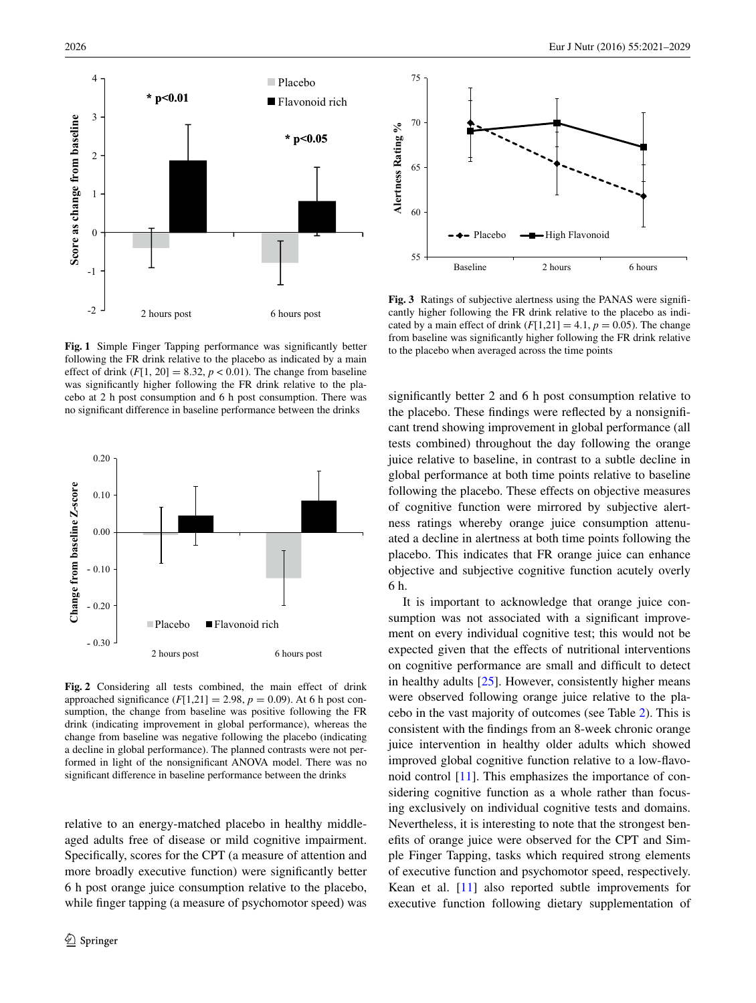

<span id="page-5-0"></span>**Fig. 1** Simple Finger Tapping performance was significantly better following the FR drink relative to the placebo as indicated by a main effect of drink  $(F[1, 20] = 8.32, p < 0.01)$ . The change from baseline was significantly higher following the FR drink relative to the placebo at 2 h post consumption and 6 h post consumption. There was no significant difference in baseline performance between the drinks



<span id="page-5-1"></span>**Fig. 2** Considering all tests combined, the main effect of drink approached significance  $(F[1,21] = 2.98, p = 0.09)$ . At 6 h post consumption, the change from baseline was positive following the FR drink (indicating improvement in global performance), whereas the change from baseline was negative following the placebo (indicating a decline in global performance). The planned contrasts were not performed in light of the nonsignificant ANOVA model. There was no significant difference in baseline performance between the drinks

relative to an energy-matched placebo in healthy middleaged adults free of disease or mild cognitive impairment. Specifically, scores for the CPT (a measure of attention and more broadly executive function) were significantly better 6 h post orange juice consumption relative to the placebo, while finger tapping (a measure of psychomotor speed) was



<span id="page-5-2"></span>**Fig. 3** Ratings of subjective alertness using the PANAS were significantly higher following the FR drink relative to the placebo as indicated by a main effect of drink  $(F[1,21] = 4.1, p = 0.05)$ . The change from baseline was significantly higher following the FR drink relative to the placebo when averaged across the time points

significantly better 2 and 6 h post consumption relative to the placebo. These findings were reflected by a nonsignificant trend showing improvement in global performance (all tests combined) throughout the day following the orange juice relative to baseline, in contrast to a subtle decline in global performance at both time points relative to baseline following the placebo. These effects on objective measures of cognitive function were mirrored by subjective alertness ratings whereby orange juice consumption attenuated a decline in alertness at both time points following the placebo. This indicates that FR orange juice can enhance objective and subjective cognitive function acutely overly 6 h.

It is important to acknowledge that orange juice consumption was not associated with a significant improvement on every individual cognitive test; this would not be expected given that the effects of nutritional interventions on cognitive performance are small and difficult to detect in healthy adults [\[25](#page-8-3)]. However, consistently higher means were observed following orange juice relative to the placebo in the vast majority of outcomes (see Table [2\)](#page-4-0). This is consistent with the findings from an 8-week chronic orange juice intervention in healthy older adults which showed improved global cognitive function relative to a low-flavonoid control [\[11](#page-7-8)]. This emphasizes the importance of considering cognitive function as a whole rather than focusing exclusively on individual cognitive tests and domains. Nevertheless, it is interesting to note that the strongest benefits of orange juice were observed for the CPT and Simple Finger Tapping, tasks which required strong elements of executive function and psychomotor speed, respectively. Kean et al. [[11\]](#page-7-8) also reported subtle improvements for executive function following dietary supplementation of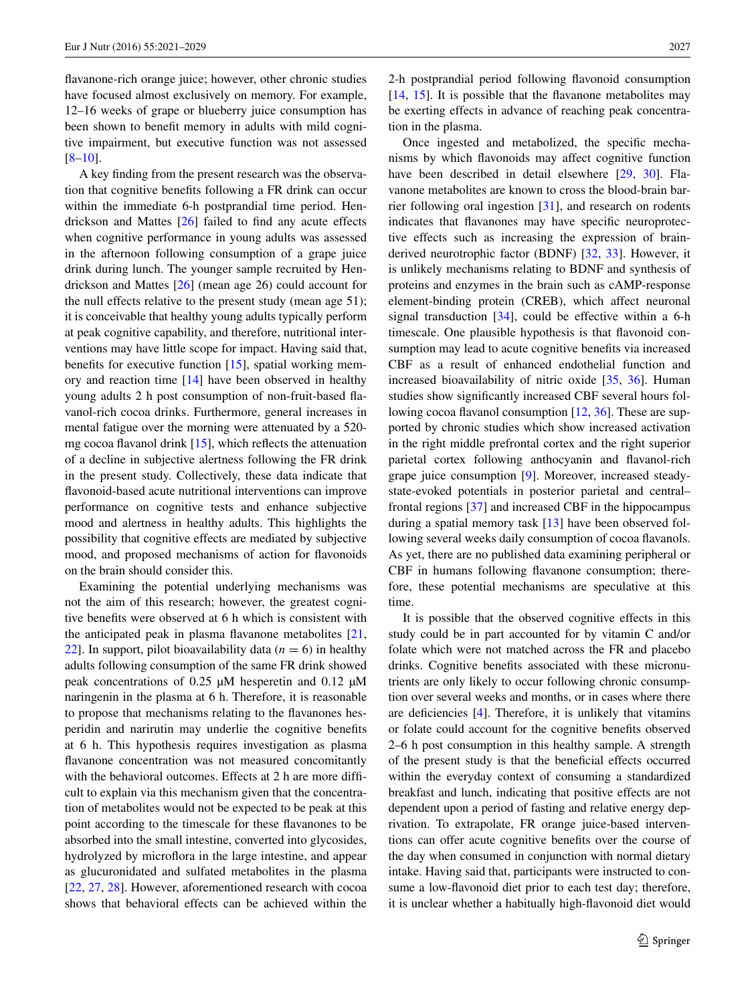flavanone-rich orange juice; however, other chronic studies have focused almost exclusively on memory. For example, 12–16 weeks of grape or blueberry juice consumption has been shown to benefit memory in adults with mild cognitive impairment, but executive function was not assessed [\[8](#page-7-6)[–10](#page-7-7)].

A key finding from the present research was the observation that cognitive benefits following a FR drink can occur within the immediate 6-h postprandial time period. Hendrickson and Mattes [[26\]](#page-8-4) failed to find any acute effects when cognitive performance in young adults was assessed in the afternoon following consumption of a grape juice drink during lunch. The younger sample recruited by Hendrickson and Mattes [[26\]](#page-8-4) (mean age 26) could account for the null effects relative to the present study (mean age 51); it is conceivable that healthy young adults typically perform at peak cognitive capability, and therefore, nutritional interventions may have little scope for impact. Having said that, benefits for executive function [[15\]](#page-7-13), spatial working memory and reaction time [[14\]](#page-7-12) have been observed in healthy young adults 2 h post consumption of non-fruit-based flavanol-rich cocoa drinks. Furthermore, general increases in mental fatigue over the morning were attenuated by a 520 mg cocoa flavanol drink [\[15](#page-7-13)], which reflects the attenuation of a decline in subjective alertness following the FR drink in the present study. Collectively, these data indicate that flavonoid-based acute nutritional interventions can improve performance on cognitive tests and enhance subjective mood and alertness in healthy adults. This highlights the possibility that cognitive effects are mediated by subjective mood, and proposed mechanisms of action for flavonoids on the brain should consider this.

Examining the potential underlying mechanisms was not the aim of this research; however, the greatest cognitive benefits were observed at 6 h which is consistent with the anticipated peak in plasma flavanone metabolites [[21,](#page-7-19) [22](#page-8-0)]. In support, pilot bioavailability data  $(n = 6)$  in healthy adults following consumption of the same FR drink showed peak concentrations of 0.25 µM hesperetin and 0.12 µM naringenin in the plasma at 6 h. Therefore, it is reasonable to propose that mechanisms relating to the flavanones hesperidin and narirutin may underlie the cognitive benefits at 6 h. This hypothesis requires investigation as plasma flavanone concentration was not measured concomitantly with the behavioral outcomes. Effects at 2 h are more difficult to explain via this mechanism given that the concentration of metabolites would not be expected to be peak at this point according to the timescale for these flavanones to be absorbed into the small intestine, converted into glycosides, hydrolyzed by microflora in the large intestine, and appear as glucuronidated and sulfated metabolites in the plasma [\[22](#page-8-0), [27,](#page-8-5) [28\]](#page-8-6). However, aforementioned research with cocoa shows that behavioral effects can be achieved within the 2-h postprandial period following flavonoid consumption [\[14](#page-7-12), [15\]](#page-7-13). It is possible that the flavanone metabolites may be exerting effects in advance of reaching peak concentration in the plasma.

Once ingested and metabolized, the specific mechanisms by which flavonoids may affect cognitive function have been described in detail elsewhere [[29,](#page-8-7) [30\]](#page-8-8). Flavanone metabolites are known to cross the blood-brain barrier following oral ingestion [[31\]](#page-8-9), and research on rodents indicates that flavanones may have specific neuroprotective effects such as increasing the expression of brainderived neurotrophic factor (BDNF) [\[32](#page-8-10), [33](#page-8-11)]. However, it is unlikely mechanisms relating to BDNF and synthesis of proteins and enzymes in the brain such as cAMP-response element-binding protein (CREB), which affect neuronal signal transduction [[34\]](#page-8-12), could be effective within a 6-h timescale. One plausible hypothesis is that flavonoid consumption may lead to acute cognitive benefits via increased CBF as a result of enhanced endothelial function and increased bioavailability of nitric oxide [[35,](#page-8-13) [36\]](#page-8-14). Human studies show significantly increased CBF several hours following cocoa flavanol consumption [\[12](#page-7-10), [36](#page-8-14)]. These are supported by chronic studies which show increased activation in the right middle prefrontal cortex and the right superior parietal cortex following anthocyanin and flavanol-rich grape juice consumption [\[9](#page-7-9)]. Moreover, increased steadystate-evoked potentials in posterior parietal and central– frontal regions [[37\]](#page-8-15) and increased CBF in the hippocampus during a spatial memory task [[13\]](#page-7-11) have been observed following several weeks daily consumption of cocoa flavanols. As yet, there are no published data examining peripheral or CBF in humans following flavanone consumption; therefore, these potential mechanisms are speculative at this time.

It is possible that the observed cognitive effects in this study could be in part accounted for by vitamin C and/or folate which were not matched across the FR and placebo drinks. Cognitive benefits associated with these micronutrients are only likely to occur following chronic consumption over several weeks and months, or in cases where there are deficiencies [[4\]](#page-7-2). Therefore, it is unlikely that vitamins or folate could account for the cognitive benefits observed 2–6 h post consumption in this healthy sample. A strength of the present study is that the beneficial effects occurred within the everyday context of consuming a standardized breakfast and lunch, indicating that positive effects are not dependent upon a period of fasting and relative energy deprivation. To extrapolate, FR orange juice-based interventions can offer acute cognitive benefits over the course of the day when consumed in conjunction with normal dietary intake. Having said that, participants were instructed to consume a low-flavonoid diet prior to each test day; therefore, it is unclear whether a habitually high-flavonoid diet would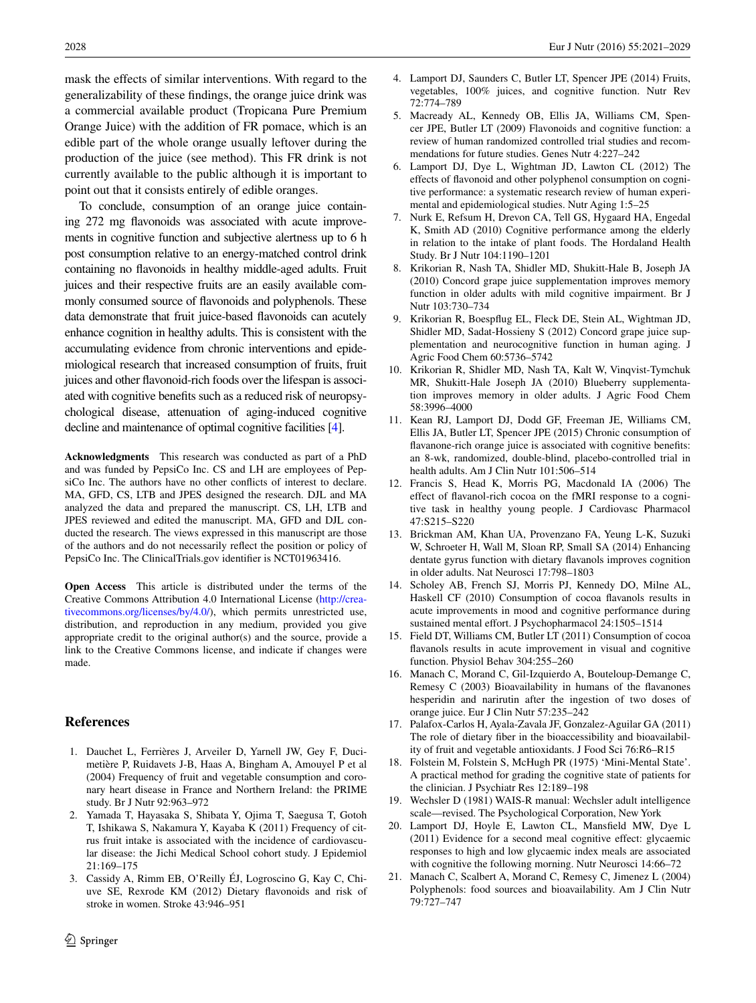mask the effects of similar interventions. With regard to the generalizability of these findings, the orange juice drink was a commercial available product (Tropicana Pure Premium Orange Juice) with the addition of FR pomace, which is an edible part of the whole orange usually leftover during the production of the juice (see method). This FR drink is not currently available to the public although it is important to point out that it consists entirely of edible oranges.

To conclude, consumption of an orange juice containing 272 mg flavonoids was associated with acute improvements in cognitive function and subjective alertness up to 6 h post consumption relative to an energy-matched control drink containing no flavonoids in healthy middle-aged adults. Fruit juices and their respective fruits are an easily available commonly consumed source of flavonoids and polyphenols. These data demonstrate that fruit juice-based flavonoids can acutely enhance cognition in healthy adults. This is consistent with the accumulating evidence from chronic interventions and epidemiological research that increased consumption of fruits, fruit juices and other flavonoid-rich foods over the lifespan is associated with cognitive benefits such as a reduced risk of neuropsychological disease, attenuation of aging-induced cognitive decline and maintenance of optimal cognitive facilities [[4](#page-7-2)].

**Acknowledgments** This research was conducted as part of a PhD and was funded by PepsiCo Inc. CS and LH are employees of PepsiCo Inc. The authors have no other conflicts of interest to declare. MA, GFD, CS, LTB and JPES designed the research. DJL and MA analyzed the data and prepared the manuscript. CS, LH, LTB and JPES reviewed and edited the manuscript. MA, GFD and DJL conducted the research. The views expressed in this manuscript are those of the authors and do not necessarily reflect the position or policy of PepsiCo Inc. The ClinicalTrials.gov identifier is NCT01963416.

**Open Access** This article is distributed under the terms of the Creative Commons Attribution 4.0 International License ([http://crea](http://creativecommons.org/licenses/by/4.0/)[tivecommons.org/licenses/by/4.0/](http://creativecommons.org/licenses/by/4.0/)), which permits unrestricted use, distribution, and reproduction in any medium, provided you give appropriate credit to the original author(s) and the source, provide a link to the Creative Commons license, and indicate if changes were made.

#### **References**

- <span id="page-7-0"></span>1. Dauchet L, Ferrières J, Arveiler D, Yarnell JW, Gey F, Ducimetière P, Ruidavets J-B, Haas A, Bingham A, Amouyel P et al (2004) Frequency of fruit and vegetable consumption and coronary heart disease in France and Northern Ireland: the PRIME study. Br J Nutr 92:963–972
- 2. Yamada T, Hayasaka S, Shibata Y, Ojima T, Saegusa T, Gotoh T, Ishikawa S, Nakamura Y, Kayaba K (2011) Frequency of citrus fruit intake is associated with the incidence of cardiovascular disease: the Jichi Medical School cohort study. J Epidemiol 21:169–175
- <span id="page-7-1"></span>3. Cassidy A, Rimm EB, O'Reilly ÉJ, Logroscino G, Kay C, Chiuve SE, Rexrode KM (2012) Dietary flavonoids and risk of stroke in women. Stroke 43:946–951
- <span id="page-7-2"></span>4. Lamport DJ, Saunders C, Butler LT, Spencer JPE (2014) Fruits, vegetables, 100% juices, and cognitive function. Nutr Rev 72:774–789
- <span id="page-7-3"></span>5. Macready AL, Kennedy OB, Ellis JA, Williams CM, Spencer JPE, Butler LT (2009) Flavonoids and cognitive function: a review of human randomized controlled trial studies and recommendations for future studies. Genes Nutr 4:227–242
- <span id="page-7-4"></span>6. Lamport DJ, Dye L, Wightman JD, Lawton CL (2012) The effects of flavonoid and other polyphenol consumption on cognitive performance: a systematic research review of human experimental and epidemiological studies. Nutr Aging 1:5–25
- <span id="page-7-5"></span>7. Nurk E, Refsum H, Drevon CA, Tell GS, Hygaard HA, Engedal K, Smith AD (2010) Cognitive performance among the elderly in relation to the intake of plant foods. The Hordaland Health Study. Br J Nutr 104:1190–1201
- <span id="page-7-6"></span>8. Krikorian R, Nash TA, Shidler MD, Shukitt-Hale B, Joseph JA (2010) Concord grape juice supplementation improves memory function in older adults with mild cognitive impairment. Br J Nutr 103:730–734
- <span id="page-7-9"></span>9. Krikorian R, Boespflug EL, Fleck DE, Stein AL, Wightman JD, Shidler MD, Sadat-Hossieny S (2012) Concord grape juice supplementation and neurocognitive function in human aging. J Agric Food Chem 60:5736–5742
- <span id="page-7-7"></span>10. Krikorian R, Shidler MD, Nash TA, Kalt W, Vinqvist-Tymchuk MR, Shukitt-Hale Joseph JA (2010) Blueberry supplementation improves memory in older adults. J Agric Food Chem 58:3996–4000
- <span id="page-7-8"></span>11. Kean RJ, Lamport DJ, Dodd GF, Freeman JE, Williams CM, Ellis JA, Butler LT, Spencer JPE (2015) Chronic consumption of flavanone-rich orange juice is associated with cognitive benefits: an 8-wk, randomized, double-blind, placebo-controlled trial in health adults. Am J Clin Nutr 101:506–514
- <span id="page-7-10"></span>12. Francis S, Head K, Morris PG, Macdonald IA (2006) The effect of flavanol-rich cocoa on the fMRI response to a cognitive task in healthy young people. J Cardiovasc Pharmacol 47:S215–S220
- <span id="page-7-11"></span>13. Brickman AM, Khan UA, Provenzano FA, Yeung L-K, Suzuki W, Schroeter H, Wall M, Sloan RP, Small SA (2014) Enhancing dentate gyrus function with dietary flavanols improves cognition in older adults. Nat Neurosci 17:798–1803
- <span id="page-7-12"></span>14. Scholey AB, French SJ, Morris PJ, Kennedy DO, Milne AL, Haskell CF (2010) Consumption of cocoa flavanols results in acute improvements in mood and cognitive performance during sustained mental effort. J Psychopharmacol 24:1505–1514
- <span id="page-7-13"></span>15. Field DT, Williams CM, Butler LT (2011) Consumption of cocoa flavanols results in acute improvement in visual and cognitive function. Physiol Behav 304:255–260
- <span id="page-7-14"></span>16. Manach C, Morand C, Gil-Izquierdo A, Bouteloup-Demange C, Remesy C (2003) Bioavailability in humans of the flavanones hesperidin and narirutin after the ingestion of two doses of orange juice. Eur J Clin Nutr 57:235–242
- <span id="page-7-15"></span>17. Palafox-Carlos H, Ayala-Zavala JF, Gonzalez-Aguilar GA (2011) The role of dietary fiber in the bioaccessibility and bioavailability of fruit and vegetable antioxidants. J Food Sci 76:R6–R15
- <span id="page-7-16"></span>18. Folstein M, Folstein S, McHugh PR (1975) 'Mini-Mental State'. A practical method for grading the cognitive state of patients for the clinician. J Psychiatr Res 12:189–198
- <span id="page-7-17"></span>19. Wechsler D (1981) WAIS-R manual: Wechsler adult intelligence scale—revised. The Psychological Corporation, New York
- <span id="page-7-18"></span>20. Lamport DJ, Hoyle E, Lawton CL, Mansfield MW, Dye L (2011) Evidence for a second meal cognitive effect: glycaemic responses to high and low glycaemic index meals are associated with cognitive the following morning. Nutr Neurosci 14:66–72
- <span id="page-7-19"></span>21. Manach C, Scalbert A, Morand C, Remesy C, Jimenez L (2004) Polyphenols: food sources and bioavailability. Am J Clin Nutr 79:727–747